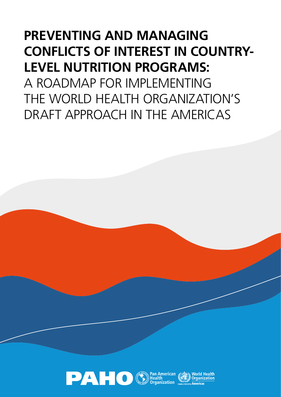## **PREVENTING AND MANAGING CONFLICTS OF INTEREST IN COUNTRY-LEVEL NUTRITION PROGRAMS:**

A ROADMAP FOR IMPLEMENTING THE WORLD HEALTH ORGANIZATION'S DRAFT APPROACH IN THE AMERICAS

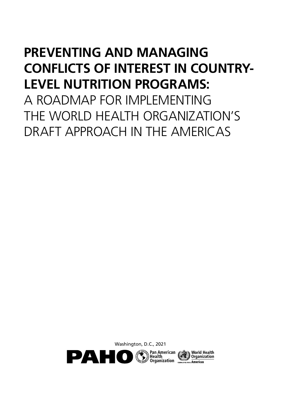## **PREVENTING AND MANAGING CONFLICTS OF INTEREST IN COUNTRY-LEVEL NUTRITION PROGRAMS:**

A ROADMAP FOR IMPI FMENTING THE WORLD HEALTH ORGANIZATION'S DRAFT APPROACH IN THE AMERICAS

Washington, D.C., 2021

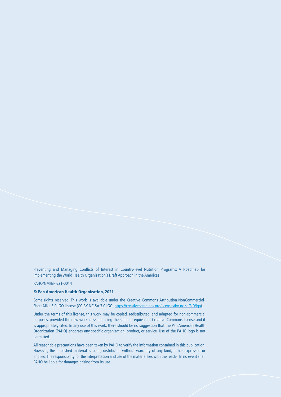Preventing and Managing Conflicts of Interest in Country-level Nutrition Programs: A Roadmap for Implementing the World Health Organization's Draft Approach in the Americas

PAHO/NMH/RF/21-0014

#### © Pan American Health Organization, 2021

Some rights reserved. This work is available under the Creative Commons Attribution-NonCommercial-ShareAlike 3.0 IGO license (CC BY-NC-SA 3.0 IGO; [https://creativecommons.org/licenses/by-nc-sa/3.0/igo\)](https://creativecommons.org/licenses/by-nc-sa/3.0/igo).

Under the terms of this license, this work may be copied, redistributed, and adapted for non-commercial purposes, provided the new work is issued using the same or equivalent Creative Commons license and it is appropriately cited. In any use of this work, there should be no suggestion that the Pan American Health Organization (PAHO) endorses any specific organization, product, or service. Use of the PAHO logo is not permitted.

All reasonable precautions have been taken by PAHO to verify the information contained in this publication. However, the published material is being distributed without warranty of any kind, either expressed or implied. The responsibility for the interpretation and use of the material lies with the reader. In no event shall PAHO be liable for damages arising from its use.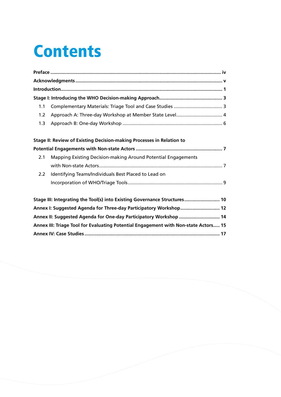# **Contents**

| 1.1                                                                                 |                                                               |  |  |
|-------------------------------------------------------------------------------------|---------------------------------------------------------------|--|--|
| 1.2                                                                                 | Approach A: Three-day Workshop at Member State Level 4        |  |  |
| 1.3                                                                                 |                                                               |  |  |
|                                                                                     |                                                               |  |  |
| Stage II: Review of Existing Decision-making Processes in Relation to               |                                                               |  |  |
|                                                                                     |                                                               |  |  |
| 2.1                                                                                 | Mapping Existing Decision-making Around Potential Engagements |  |  |
|                                                                                     |                                                               |  |  |
| 2.2                                                                                 | Identifying Teams/Individuals Best Placed to Lead on          |  |  |
|                                                                                     |                                                               |  |  |
|                                                                                     |                                                               |  |  |
| Stage III: Integrating the Tool(s) into Existing Governance Structures 10           |                                                               |  |  |
| Annex I: Suggested Agenda for Three-day Participatory Workshop 12                   |                                                               |  |  |
| Annex II: Suggested Agenda for One-day Participatory Workshop  14                   |                                                               |  |  |
| Annex III: Triage Tool for Evaluating Potential Engagement with Non-state Actors 15 |                                                               |  |  |
|                                                                                     |                                                               |  |  |
|                                                                                     |                                                               |  |  |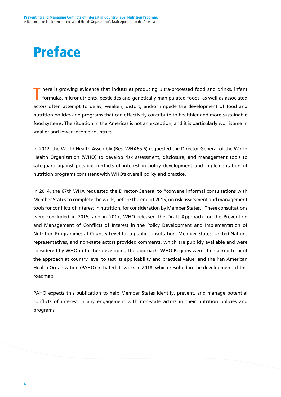## Preface

here is growing evidence that industries producing ultra-processed food and drinks, infant formulas, micronutrients, pesticides and genetically manipulated foods, as well as associated actors often attempt to delay, weaken, distort, and/or impede the development of food and nutrition policies and programs that can effectively contribute to healthier and more sustainable food systems. The situation in the Americas is not an exception, and it is particularly worrisome in smaller and lower-income countries.

In 2012, the World Health Assembly (Res. WHA65.6) requested the Director-General of the World Health Organization (WHO) to develop risk assessment, disclosure, and management tools to safeguard against possible conflicts of interest in policy development and implementation of nutrition programs consistent with WHO's overall policy and practice.

In 2014, the 67th WHA requested the Director-General to "convene informal consultations with Member States to complete the work, before the end of 2015, on risk assessment and management tools for conflicts of interest in nutrition, for consideration by Member States." These consultations were concluded in 2015, and in 2017, WHO released the Draft Approach for the Prevention and Management of Conflicts of Interest in the Policy Development and Implementation of Nutrition Programmes at Country Level for a public consultation. Member States, United Nations representatives, and non-state actors provided comments, which are publicly available and were considered by WHO in further developing the approach. WHO Regions were then asked to pilot the approach at country level to test its applicability and practical value, and the Pan American Health Organization (PAHO) initiated its work in 2018, which resulted in the development of this roadmap.

PAHO expects this publication to help Member States identify, prevent, and manage potential conflicts of interest in any engagement with non-state actors in their nutrition policies and programs.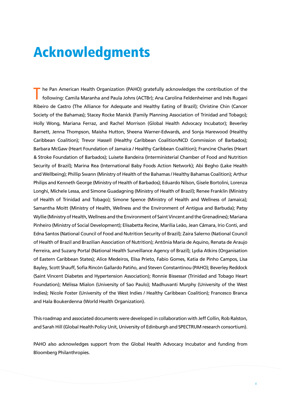## Acknowledgments

he Pan American Health Organization (PAHO) gratefully acknowledges the contribution of the following: Camila Maranha and Paula Johns (ACTBr); Ana Carolina Feldenheimer and Inês Rugani Ribeiro de Castro (The Alliance for Adequate and Healthy Eating of Brazil); Christine Chin (Cancer Society of the Bahamas); Stacey Rocke Manick (Family Planning Association of Trinidad and Tobago); Holly Wong, Mariana Ferraz, and Rachel Morrison (Global Health Advocacy Incubator); Beverley Barnett, Jenna Thompson, Maisha Hutton, Sheena Warner-Edwards, and Sonja Harewood (Healthy Caribbean Coalition); Trevor Hassell (Healthy Caribbean Coalition/NCD Commission of Barbados); Barbara McGaw (Heart Foundation of Jamaica / Healthy Caribbean Coalition); Francine Charles (Heart & Stroke Foundation of Barbados); Luisete Bandeira (Interministerial Chamber of Food and Nutrition Security of Brazil); Marina Rea (International Baby Foods Action Network); Abi Begho (Lake Health and Wellbeing); Phillip Swann (Ministry of Health of the Bahamas / Healthy Bahamas Coalition); Arthur Philips and Kenneth George (Ministry of Health of Barbados); Eduardo Nilson, Gisele Bortolini, Lorenza Longhi, Michele Lessa, and Simone Guadagning (Ministry of Health of Brazil); Renee Franklin (Ministry of Health of Trinidad and Tobago); Simone Spence (Ministry of Health and Wellness of Jamaica); Samantha Moitt (Ministry of Health, Wellness and the Environment of Antigua and Barbuda); Patsy Wyllie (Ministry of Health, Wellness and the Environment of Saint Vincent and the Grenadines); Mariana Pinheiro (Ministry of Social Development); Elisabetta Recine, Marília Leão, Jean Câmara, Irio Conti, and Edna Santos (National Council of Food and Nutrition Security of Brazil); Zaira Salerno (National Council of Health of Brazil and Brazilian Association of Nutrition); Antônia Maria de Aquino, Renata de Araujo Ferreira, and Suzany Portal (National Health Surveillance Agency of Brazil); Lydia Atkins (Organisation of Eastern Caribbean States); Alice Medeiros, Elisa Prieto, Fabio Gomes, Katia de Pinho Campos, Lisa Bayley, Scott Shauff, Sofía Rincón Gallardo Patiño, and Steven Constantinou (PAHO); Beverley Reddock (Saint Vincent Diabetes and Hypertension Association); Ronnie Bissessar (Trinidad and Tobago Heart Foundation); Mélissa Mialon (University of Sao Paulo); Madhuvanti Murphy (University of the West Indies); Nicole Foster (University of the West Indies / Healthy Caribbean Coalition); Francesco Branca and Hala Boukerdenna (World Health Organization).

This roadmap and associated documents were developed in collaboration with Jeff Collin, Rob Ralston, and Sarah Hill (Global Health Policy Unit, University of Edinburgh and SPECTRUM research consortium).

PAHO also acknowledges support from the Global Health Advocacy Incubator and funding from Bloomberg Philanthropies.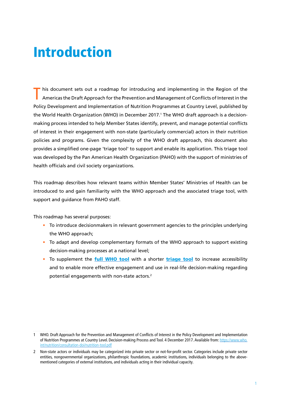## Introduction

his document sets out a roadmap for introducing and implementing in the Region of the Americas the Draft Approach for the Prevention and Management of Conflicts of Interest in the Policy Development and Implementation of Nutrition Programmes at Country Level, published by the World Health Organization (WHO) in December 2017.' The WHO draft approach is a decisionmaking process intended to help Member States identify, prevent, and manage potential conflicts of interest in their engagement with non-state (particularly commercial) actors in their nutrition policies and programs. Given the complexity of the WHO draft approach, this document also provides a simplified one-page 'triage tool' to support and enable its application. This triage tool was developed by the Pan American Health Organization (PAHO) with the support of ministries of health officials and civil society organizations.

This roadmap describes how relevant teams within Member States' Ministries of Health can be introduced to and gain familiarity with the WHO approach and the associated triage tool, with support and guidance from PAHO staff.

This roadmap has several purposes:

- To introduce decisionmakers in relevant government agencies to the principles underlying the WHO approach;
- To adapt and develop complementary formats of the WHO approach to support existing decision-making processes at a national level;
- To supplement the *[full WHO tool](https://www.smartsurvey.co.uk/s/ONGA5)* with a shorter *[triage tool](https://www.smartsurvey.co.uk/s/QDOQM/)* to increase accessibility and to enable more effective engagement and use in real-life decision-making regarding potential engagements with non-state actors.2

<sup>1</sup> WHO. Draft Approach for the Prevention and Management of Conflicts of Interest in the Policy Development and Implementation of Nutrition Programmes at Country Level. Decision-making Process and Tool. 4 December 2017. Available from: [https://www.who.](https://www.who.int/nutrition/consultation-doi/nutrition-tool.pdf) [int/nutrition/consultation-doi/nutrition-tool.pdf](https://www.who.int/nutrition/consultation-doi/nutrition-tool.pdf)

<sup>2</sup> Non-state actors or individuals may be categorized into private sector or not-for-profit sector. Categories include private sector entities, nongovernmental organizations, philanthropic foundations, academic institutions, individuals belonging to the abovementioned categories of external institutions, and individuals acting in their individual capacity.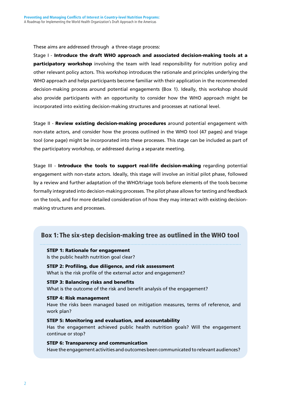These aims are addressed through a three-stage process:

Stage I - Introduce the draft WHO approach and associated decision-making tools at a **participatory workshop** involving the team with lead responsibility for nutrition policy and other relevant policy actors. This workshop introduces the rationale and principles underlying the WHO approach and helps participants become familiar with their application in the recommended decision-making process around potential engagements (Box 1). Ideally, this workshop should also provide participants with an opportunity to consider how the WHO approach might be incorporated into existing decision-making structures and processes at national level.

Stage II - Review existing decision-making procedures around potential engagement with non-state actors, and consider how the process outlined in the WHO tool (47 pages) and triage tool (one page) might be incorporated into these processes. This stage can be included as part of the participatory workshop, or addressed during a separate meeting.

Stage III - Introduce the tools to support real-life decision-making regarding potential engagement with non-state actors. Ideally, this stage will involve an initial pilot phase, followed by a review and further adaptation of the WHO/triage tools before elements of the tools become formally integrated into decision-making processes. The pilot phase allows for testing and feedback on the tools, and for more detailed consideration of how they may interact with existing decisionmaking structures and processes.

#### Box 1: The six-step decision-making tree as outlined in the WHO tool

#### STEP 1: Rationale for engagement

Is the public health nutrition goal clear?

STEP 2: Profiling, due diligence, and risk assessment What is the risk profile of the external actor and engagement?

#### STEP 3: Balancing risks and benefits What is the outcome of the risk and benefit analysis of the engagement?

STEP 4: Risk management Have the risks been managed based on mitigation measures, terms of reference, and work plan?

STEP 5: Monitoring and evaluation, and accountability Has the engagement achieved public health nutrition goals? Will the engagement continue or stop?

STEP 6: Transparency and communication Have the engagement activities and outcomes been communicated to relevant audiences?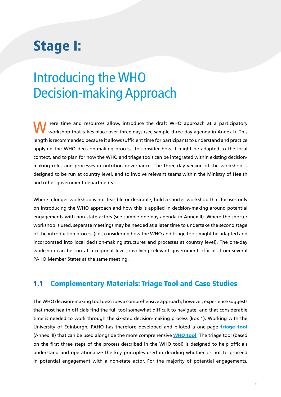## Stage I:

## Introducing the WHO Decision-making Approach

here time and resources allow, introduce the draft WHO approach at a participatory workshop that takes place over three days (see sample three-day agenda in Annex I). This length is recommended because it allows sufficient time for participants to understand and practice applying the WHO decision-making process, to consider how it might be adapted to the local context, and to plan for how the WHO and triage tools can be integrated within existing decisionmaking roles and processes in nutrition governance. The three-day version of the workshop is designed to be run at country level, and to involve relevant teams within the Ministry of Health and other government departments.

Where a longer workshop is not feasible or desirable, hold a shorter workshop that focuses only on introducing the WHO approach and how this is applied in decision-making around potential engagements with non-state actors (see sample one-day agenda in Annex II). Where the shorter workshop is used, separate meetings may be needed at a later time to undertake the second stage of the introduction process (i.e., considering how the WHO and triage tools might be adapted and incorporated into local decision-making structures and processes at country level). The one-day workshop can be run at a regional level, involving relevant government officials from several PAHO Member States at the same meeting.

#### 1.1 Complementary Materials: Triage Tool and Case Studies

The WHO decision-making tool describes a comprehensive approach; however, experience suggests that most health officials find the full tool somewhat difficult to navigate, and that considerable time is needed to work through the six-step decision-making process (Box 1). Working with the University of Edinburgh, PAHO has therefore developed and piloted a one-page *[triage tool](https://www.smartsurvey.co.uk/s/QDOQM/)* (Annex III) that can be used alongside the more comprehensive **[WHO tool](https://www.smartsurvey.co.uk/s/ONGA5)**. The triage tool (based on the first three steps of the process described in the WHO tool) is designed to help officials understand and operationalize the key principles used in deciding whether or not to proceed in potential engagement with a non-state actor. For the majority of potential engagements,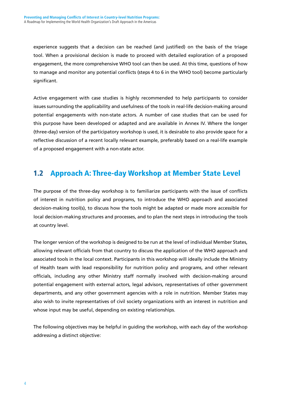experience suggests that a decision can be reached (and justified) on the basis of the triage tool. When a provisional decision is made to proceed with detailed exploration of a proposed engagement, the more comprehensive WHO tool can then be used. At this time, questions of how to manage and monitor any potential conflicts (steps 4 to 6 in the WHO tool) become particularly significant.

Active engagement with case studies is highly recommended to help participants to consider issues surrounding the applicability and usefulness of the tools in real-life decision-making around potential engagements with non-state actors. A number of case studies that can be used for this purpose have been developed or adapted and are available in Annex IV. Where the longer (three-day) version of the participatory workshop is used, it is desirable to also provide space for a reflective discussion of a recent locally relevant example, preferably based on a real-life example of a proposed engagement with a non-state actor.

### 1.2 Approach A: Three-day Workshop at Member State Level

The purpose of the three-day workshop is to familiarize participants with the issue of conflicts of interest in nutrition policy and programs, to introduce the WHO approach and associated decision-making tool(s), to discuss how the tools might be adapted or made more accessible for local decision-making structures and processes, and to plan the next steps in introducing the tools at country level.

The longer version of the workshop is designed to be run at the level of individual Member States, allowing relevant officials from that country to discuss the application of the WHO approach and associated tools in the local context. Participants in this workshop will ideally include the Ministry of Health team with lead responsibility for nutrition policy and programs, and other relevant officials, including any other Ministry staff normally involved with decision-making around potential engagement with external actors, legal advisors, representatives of other government departments, and any other government agencies with a role in nutrition. Member States may also wish to invite representatives of civil society organizations with an interest in nutrition and whose input may be useful, depending on existing relationships.

The following objectives may be helpful in guiding the workshop, with each day of the workshop addressing a distinct objective: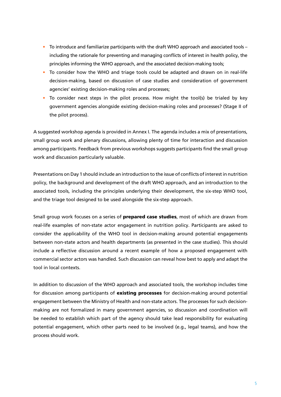- To introduce and familiarize participants with the draft WHO approach and associated tools including the rationale for preventing and managing conflicts of interest in health policy, the principles informing the WHO approach, and the associated decision-making tools;
- To consider how the WHO and triage tools could be adapted and drawn on in real-life decision-making, based on discussion of case studies and consideration of government agencies' existing decision-making roles and processes;
- To consider next steps in the pilot process. How might the tool(s) be trialed by key government agencies alongside existing decision-making roles and processes? (Stage II of the pilot process).

A suggested workshop agenda is provided in Annex I. The agenda includes a mix of presentations, small group work and plenary discussions, allowing plenty of time for interaction and discussion among participants. Feedback from previous workshops suggests participants find the small group work and discussion particularly valuable.

Presentations on Day 1 should include an introduction to the issue of conflicts of interest in nutrition policy, the background and development of the draft WHO approach, and an introduction to the associated tools, including the principles underlying their development, the six-step WHO tool, and the triage tool designed to be used alongside the six-step approach.

Small group work focuses on a series of **prepared case studies**, most of which are drawn from real-life examples of non-state actor engagement in nutrition policy. Participants are asked to consider the applicability of the WHO tool in decision-making around potential engagements between non-state actors and health departments (as presented in the case studies). This should include a reflective discussion around a recent example of how a proposed engagement with commercial sector actors was handled. Such discussion can reveal how best to apply and adapt the tool in local contexts.

In addition to discussion of the WHO approach and associated tools, the workshop includes time for discussion among participants of existing processes for decision-making around potential engagement between the Ministry of Health and non-state actors. The processes for such decisionmaking are not formalized in many government agencies, so discussion and coordination will be needed to establish which part of the agency should take lead responsibility for evaluating potential engagement, which other parts need to be involved (e.g., legal teams), and how the process should work.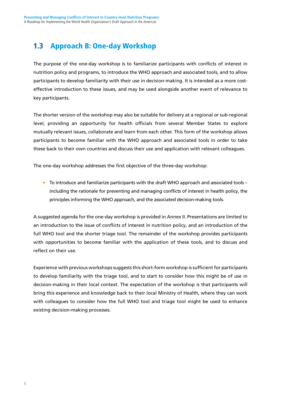### 1.3 Approach B: One-day Workshop

The purpose of the one-day workshop is to familiarize participants with conflicts of interest in nutrition policy and programs, to introduce the WHO approach and associated tools, and to allow participants to develop familiarity with their use in decision-making. It is intended as a more costeffective introduction to these issues, and may be used alongside another event of relevance to key participants.

The shorter version of the workshop may also be suitable for delivery at a regional or sub-regional level, providing an opportunity for health officials from several Member States to explore mutually relevant issues, collaborate and learn from each other. This form of the workshop allows participants to become familiar with the WHO approach and associated tools in order to take these back to their own countries and discuss their use and application with relevant colleagues.

The one-day workshop addresses the first objective of the three-day workshop:

• To introduce and familiarize participants with the draft WHO approach and associated tools – including the rationale for preventing and managing conflicts of interest in health policy, the principles informing the WHO approach, and the associated decision-making tools.

A suggested agenda for the one-day workshop is provided in Annex II. Presentations are limited to an introduction to the issue of conflicts of interest in nutrition policy, and an introduction of the full WHO tool and the shorter triage tool. The remainder of the workshop provides participants with opportunities to become familiar with the application of these tools, and to discuss and reflect on their use.

Experience with previous workshops suggests this short-form workshop is sufficient for participants to develop familiarity with the triage tool, and to start to consider how this might be of use in decision-making in their local context. The expectation of the workshop is that participants will bring this experience and knowledge back to their local Ministry of Health, where they can work with colleagues to consider how the full WHO tool and triage tool might be used to enhance existing decision-making processes.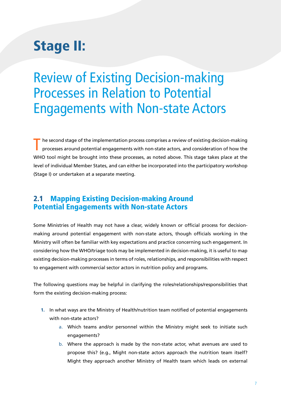## Stage II:

Review of Existing Decision-making Processes in Relation to Potential Engagements with Non-state Actors

he second stage of the implementation process comprises a review of existing decision-making processes around potential engagements with non-state actors, and consideration of how the WHO tool might be brought into these processes, as noted above. This stage takes place at the level of individual Member States, and can either be incorporated into the participatory workshop (Stage I) or undertaken at a separate meeting.

### 2.1 Mapping Existing Decision-making Around Potential Engagements with Non-state Actors

Some Ministries of Health may not have a clear, widely known or official process for decisionmaking around potential engagement with non-state actors, though officials working in the Ministry will often be familiar with key expectations and practice concerning such engagement. In considering how the WHO/triage tools may be implemented in decision-making, it is useful to map existing decision-making processes in terms of roles, relationships, and responsibilities with respect to engagement with commercial sector actors in nutrition policy and programs.

The following questions may be helpful in clarifying the roles/relationships/responsibilities that form the existing decision-making process:

- 1. In what ways are the Ministry of Health/nutrition team notified of potential engagements with non-state actors?
	- a. Which teams and/or personnel within the Ministry might seek to initiate such engagements?
	- b. Where the approach is made by the non-state actor, what avenues are used to propose this? (e.g., Might non-state actors approach the nutrition team itself? Might they approach another Ministry of Health team which leads on external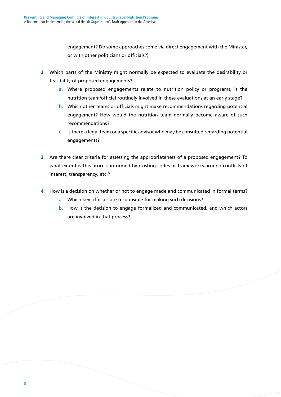engagement? Do some approaches come via direct engagement with the Minister, or with other politicians or officials?)

- 2. Which parts of the Ministry might normally be expected to evaluate the desirability or feasibility of proposed engagements?
	- a. Where proposed engagements relate to nutrition policy or programs, is the nutrition team/official routinely involved in these evaluations at an early stage?
	- b. Which other teams or officials might make recommendations regarding potential engagement? How would the nutrition team normally become aware of such recommendations?
	- c. Is there a legal team or a specific advisor who may be consulted regarding potential engagements?
- 3. Are there clear criteria for assessing the appropriateness of a proposed engagement? To what extent is this process informed by existing codes or frameworks around conflicts of interest, transparency, etc.?
- 4. How is a decision on whether or not to engage made and communicated in formal terms?
	- a. Which key officials are responsible for making such decisions?
	- b. How is the decision to engage formalized and communicated, and which actors are involved in that process?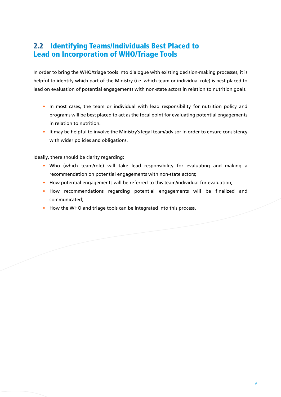### 2.2 Identifying Teams/Individuals Best Placed to Lead on Incorporation of WHO/Triage Tools

In order to bring the WHO/triage tools into dialogue with existing decision-making processes, it is helpful to identify which part of the Ministry (i.e. which team or individual role) is best placed to lead on evaluation of potential engagements with non-state actors in relation to nutrition goals.

- In most cases, the team or individual with lead responsibility for nutrition policy and programs will be best placed to act as the focal point for evaluating potential engagements in relation to nutrition.
- It may be helpful to involve the Ministry's legal team/advisor in order to ensure consistency with wider policies and obligations.

Ideally, there should be clarity regarding:

- Who (which team/role) will take lead responsibility for evaluating and making a recommendation on potential engagements with non-state actors;
- How potential engagements will be referred to this team/individual for evaluation;
- How recommendations regarding potential engagements will be finalized and communicated;
- How the WHO and triage tools can be integrated into this process.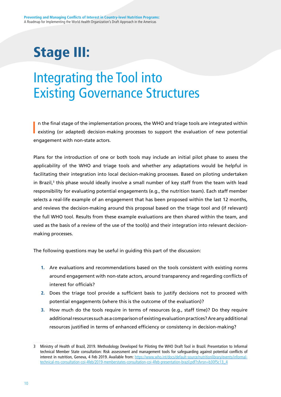## Stage III:

## Integrating the Tool into Existing Governance Structures

I n the final stage of the implementation process, the WHO and triage tools are integrated within existing (or adapted) decision-making processes to support the evaluation of new potential engagement with non-state actors.

Plans for the introduction of one or both tools may include an initial pilot phase to assess the applicability of the WHO and triage tools and whether any adaptations would be helpful in facilitating their integration into local decision-making processes. Based on piloting undertaken in Brazil,<sup>3</sup> this phase would ideally involve a small number of key staff from the team with lead responsibility for evaluating potential engagements (e.g., the nutrition team). Each staff member selects a real-life example of an engagement that has been proposed within the last 12 months, and reviews the decision-making around this proposal based on the triage tool and (if relevant) the full WHO tool. Results from these example evaluations are then shared within the team, and used as the basis of a review of the use of the tool(s) and their integration into relevant decisionmaking processes.

The following questions may be useful in guiding this part of the discussion:

- 1. Are evaluations and recommendations based on the tools consistent with existing norms around engagement with non-state actors, around transparency and regarding conflicts of interest for officials?
- 2. Does the triage tool provide a sufficient basis to justify decisions not to proceed with potential engagements (where this is the outcome of the evaluation)?
- 3. How much do the tools require in terms of resources (e.g., staff time)? Do they require additional resources such as a comparison of existing evaluation practices? Are any additional resources justified in terms of enhanced efficiency or consistency in decision-making?

<sup>3</sup> Ministry of Health of Brazil, 2019. Methodology Developed for Piloting the WHO Draft Tool in Brazil. Presentation to Informal technical Member State consultation: Risk assessment and management tools for safeguarding against potential conflicts of interest in nutrition, Geneva, 4 Feb 2019. Available from: [https://www.who.int/docs/default-source/nutritionlibrary/events/informal](https://www.who.int/docs/default-source/nutritionlibrary/events/informal-technical-ms-consultation-coi-4feb/2019-memberstates-consultation-coi-4feb-presentation-brazil.pdf?sfvrsn=b30f5c13_4)[technical-ms-consultation-coi-4feb/2019-memberstates-consultation-coi-4feb-presentation-brazil.pdf?sfvrsn=b30f5c13\\_4](https://www.who.int/docs/default-source/nutritionlibrary/events/informal-technical-ms-consultation-coi-4feb/2019-memberstates-consultation-coi-4feb-presentation-brazil.pdf?sfvrsn=b30f5c13_4)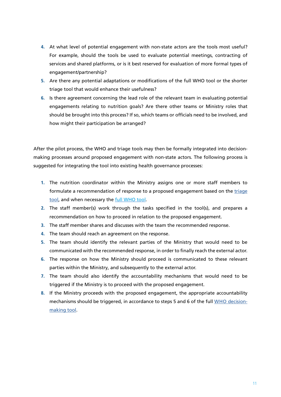- 4. At what level of potential engagement with non-state actors are the tools most useful? For example, should the tools be used to evaluate potential meetings, contracting of services and shared platforms, or is it best reserved for evaluation of more formal types of engagement/partnership?
- 5. Are there any potential adaptations or modifications of the full WHO tool or the shorter triage tool that would enhance their usefulness?
- 6. Is there agreement concerning the lead role of the relevant team in evaluating potential engagements relating to nutrition goals? Are there other teams or Ministry roles that should be brought into this process? If so, which teams or officials need to be involved, and how might their participation be arranged?

After the pilot process, the WHO and triage tools may then be formally integrated into decisionmaking processes around proposed engagement with non-state actors. The following process is suggested for integrating the tool into existing health governance processes:

- 1. The nutrition coordinator within the Ministry assigns one or more staff members to formulate a recommendation of response to a proposed engagement based on the [triage](https://www.smartsurvey.co.uk/s/QDOQM/) [tool,](https://www.smartsurvey.co.uk/s/QDOQM/) and when necessary the [full WHO tool.](https://www.smartsurvey.co.uk/s/ONGA5)
- 2. The staff member(s) work through the tasks specified in the tool(s), and prepares a recommendation on how to proceed in relation to the proposed engagement.
- 3. The staff member shares and discusses with the team the recommended response.
- 4. The team should reach an agreement on the response.
- 5. The team should identify the relevant parties of the Ministry that would need to be communicated with the recommended response, in order to finally reach the external actor.
- 6. The response on how the Ministry should proceed is communicated to these relevant parties within the Ministry, and subsequently to the external actor.
- 7. The team should also identify the accountability mechanisms that would need to be triggered if the Ministry is to proceed with the proposed engagement.
- 8. If the Ministry proceeds with the proposed engagement, the appropriate accountability mechanisms should be triggered, in accordance to steps 5 and 6 of the full [WHO decision](https://www.smartsurvey.co.uk/s/ONGA5)[making tool.](https://www.smartsurvey.co.uk/s/ONGA5)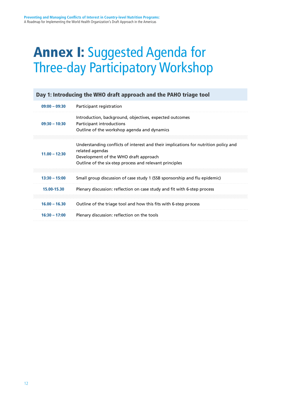## Annex I: Suggested Agenda for Three-day Participatory Workshop

| Day 1: Introducing the WHO draft approach and the PAHO triage tool |                                                                                                                                                                                                            |  |  |
|--------------------------------------------------------------------|------------------------------------------------------------------------------------------------------------------------------------------------------------------------------------------------------------|--|--|
| $09:00 - 09:30$                                                    | Participant registration                                                                                                                                                                                   |  |  |
| $09:30 - 10:30$                                                    | Introduction, background, objectives, expected outcomes<br>Participant introductions<br>Outline of the workshop agenda and dynamics                                                                        |  |  |
| $11.00 - 12:30$                                                    | Understanding conflicts of interest and their implications for nutrition policy and<br>related agendas<br>Development of the WHO draft approach<br>Outline of the six-step process and relevant principles |  |  |
| $13:30 - 15:00$                                                    | Small group discussion of case study 1 (SSB sponsorship and flu epidemic)                                                                                                                                  |  |  |
| 15.00-15.30                                                        | Plenary discussion: reflection on case study and fit with 6-step process                                                                                                                                   |  |  |
| $16.00 - 16.30$                                                    | Outline of the triage tool and how this fits with 6-step process                                                                                                                                           |  |  |
| $16:30 - 17:00$                                                    | Plenary discussion: reflection on the tools                                                                                                                                                                |  |  |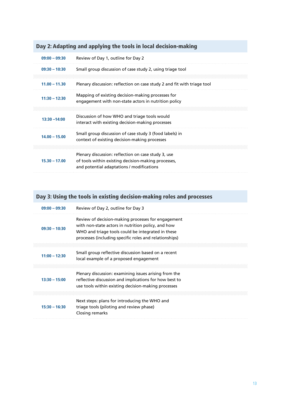### Day 2: Adapting and applying the tools in local decision-making

| $09:00 - 09:30$ | Review of Day 1, outline for Day 2                                                                                                                      |
|-----------------|---------------------------------------------------------------------------------------------------------------------------------------------------------|
| $09:30 - 10:30$ | Small group discussion of case study 2, using triage tool                                                                                               |
| $11.00 - 11.30$ | Plenary discussion: reflection on case study 2 and fit with triage tool                                                                                 |
| $11:30 - 12:30$ | Mapping of existing decision-making processes for<br>engagement with non-state actors in nutrition policy                                               |
| $13:30 - 14:00$ | Discussion of how WHO and triage tools would<br>interact with existing decision-making processes                                                        |
| $14.00 - 15.00$ | Small group discussion of case study 3 (food labels) in<br>context of existing decision-making processes                                                |
| $15.30 - 17.00$ | Plenary discussion: reflection on case study 3, use<br>of tools within existing decision-making processes,<br>and potential adaptations / modifications |

### Day 3: Using the tools in existing decision-making roles and processes

| $09:00 - 09:30$ | Review of Day 2, outline for Day 3                                                                                                                                                                                      |
|-----------------|-------------------------------------------------------------------------------------------------------------------------------------------------------------------------------------------------------------------------|
| $09:30 - 10:30$ | Review of decision-making processes for engagement<br>with non-state actors in nutrition policy, and how<br>WHO and triage tools could be integrated in these<br>processes (including specific roles and relationships) |
| $11:00 - 12:30$ | Small group reflective discussion based on a recent<br>local example of a proposed engagement                                                                                                                           |
| $13:30 - 15:00$ | Plenary discussion: examining issues arising from the<br>reflective discussion and implications for how best to<br>use tools within existing decision-making processes                                                  |
| $15:30 - 16:30$ | Next steps: plans for introducing the WHO and<br>triage tools (piloting and review phase)<br>Closing remarks                                                                                                            |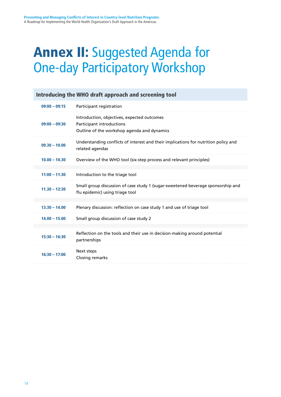## Annex II: Suggested Agenda for One-day Participatory Workshop

| Introducing the WHO draft approach and screening tool |                                                                                                                         |  |  |
|-------------------------------------------------------|-------------------------------------------------------------------------------------------------------------------------|--|--|
| $09:00 - 09:15$                                       | Participant registration                                                                                                |  |  |
| $09:00 - 09:30$                                       | Introduction, objectives, expected outcomes<br>Participant introductions<br>Outline of the workshop agenda and dynamics |  |  |
| $09.30 - 10.00$                                       | Understanding conflicts of interest and their implications for nutrition policy and<br>related agendas                  |  |  |
| $10.00 - 10.30$                                       | Overview of the WHO tool (six-step process and relevant principles)                                                     |  |  |
| $11:00 - 11:30$                                       | Introduction to the triage tool                                                                                         |  |  |
| $11.30 - 12:30$                                       | Small group discussion of case study 1 (sugar-sweetened beverage sponsorship and<br>flu epidemic) using triage tool     |  |  |
| $13.30 - 14.00$                                       | Plenary discussion: reflection on case study 1 and use of triage tool                                                   |  |  |
| $14.00 - 15.00$                                       | Small group discussion of case study 2                                                                                  |  |  |
| $15:30 - 16:30$                                       | Reflection on the tools and their use in decision-making around potential<br>partnerships                               |  |  |
| $16:30 - 17:00$                                       | Next steps<br>Closing remarks                                                                                           |  |  |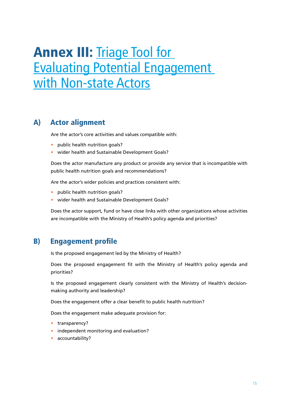## Annex III: Triage Tool for [Evaluating Potential Engagement](https://www.smartsurvey.co.uk/s/QDOQM/)  [with Non-state Actors](https://www.smartsurvey.co.uk/s/QDOQM/)

#### A) Actor alignment

Are the actor's core activities and values compatible with:

- public health nutrition goals?
- wider health and Sustainable Development Goals?

Does the actor manufacture any product or provide any service that is incompatible with public health nutrition goals and recommendations?

Are the actor's wider policies and practices consistent with:

- public health nutrition goals?
- wider health and Sustainable Development Goals?

Does the actor support, fund or have close links with other organizations whose activities are incompatible with the Ministry of Health's policy agenda and priorities?

#### B) Engagement profile

Is the proposed engagement led by the Ministry of Health?

Does the proposed engagement fit with the Ministry of Health's policy agenda and priorities?

Is the proposed engagement clearly consistent with the Ministry of Health's decisionmaking authority and leadership?

Does the engagement offer a clear benefit to public health nutrition?

Does the engagement make adequate provision for:

- transparency?
- independent monitoring and evaluation?
- accountability?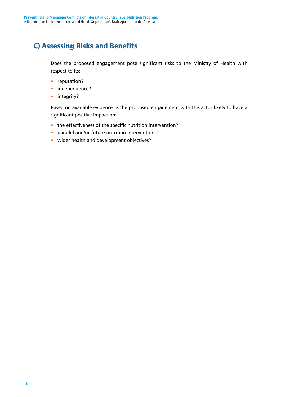### C) Assessing Risks and Benefits

Does the proposed engagement pose significant risks to the Ministry of Health with respect to its:

- reputation?
- independence?
- integrity?

Based on available evidence, is the proposed engagement with this actor likely to have a significant positive impact on:

- the effectiveness of the specific nutrition intervention?
- parallel and/or future nutrition interventions?
- wider health and development objectives?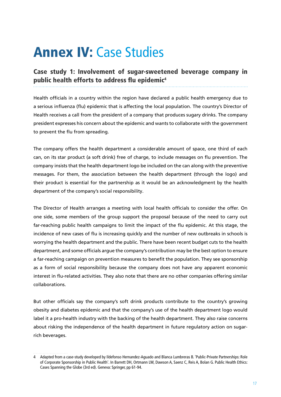## Annex IV: Case Studies

Case study 1: Involvement of sugar-sweetened beverage company in public health efforts to address flu epidemic4

Health officials in a country within the region have declared a public health emergency due to a serious influenza (flu) epidemic that is affecting the local population. The country's Director of Health receives a call from the president of a company that produces sugary drinks. The company president expresses his concern about the epidemic and wants to collaborate with the government to prevent the flu from spreading.

The company offers the health department a considerable amount of space, one third of each can, on its star product (a soft drink) free of charge, to include messages on flu prevention. The company insists that the health department logo be included on the can along with the preventive messages. For them, the association between the health department (through the logo) and their product is essential for the partnership as it would be an acknowledgment by the health department of the company's social responsibility.

The Director of Health arranges a meeting with local health officials to consider the offer. On one side, some members of the group support the proposal because of the need to carry out far-reaching public health campaigns to limit the impact of the flu epidemic. At this stage, the incidence of new cases of flu is increasing quickly and the number of new outbreaks in schools is worrying the health department and the public. There have been recent budget cuts to the health department, and some officials argue the company's contribution may be the best option to ensure a far-reaching campaign on prevention measures to benefit the population. They see sponsorship as a form of social responsibility because the company does not have any apparent economic interest in flu-related activities. They also note that there are no other companies offering similar collaborations.

But other officials say the company's soft drink products contribute to the country's growing obesity and diabetes epidemic and that the company's use of the health department logo would label it a pro-health industry with the backing of the health department. They also raise concerns about risking the independence of the health department in future regulatory action on sugarrich beverages.

<sup>4</sup> Adapted from a case-study developed by Ildefonso Hernandez-Aguado and Blanca Lumbreras B. 'Public-Private Partnerships: Role of Corporate Sponsorship in Public Health'. In Barrett DH, Ortmann LW, Dawson A, Saenz C, Reis A, Bolan G. Public Health Ethics: Cases Spanning the Globe (3rd ed). Geneva: Springer, pp 61-94.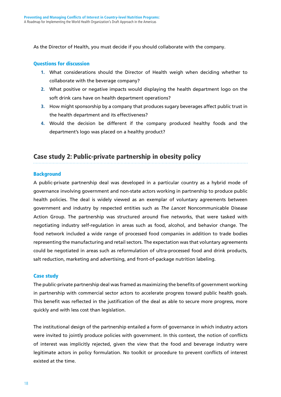As the Director of Health, you must decide if you should collaborate with the company.

#### Questions for discussion

- 1. What considerations should the Director of Health weigh when deciding whether to collaborate with the beverage company?
- 2. What positive or negative impacts would displaying the health department logo on the soft drink cans have on health department operations?
- 3. How might sponsorship by a company that produces sugary beverages affect public trust in the health department and its effectiveness?
- 4. Would the decision be different if the company produced healthy foods and the department's logo was placed on a healthy product?

#### Case study 2: Public-private partnership in obesity policy

#### **Background**

A public-private partnership deal was developed in a particular country as a hybrid mode of governance involving government and non-state actors working in partnership to produce public health policies. The deal is widely viewed as an exemplar of voluntary agreements between government and industry by respected entities such as *The Lancet* Noncommunicable Disease Action Group. The partnership was structured around five networks, that were tasked with negotiating industry self-regulation in areas such as food, alcohol, and behavior change. The food network included a wide range of processed food companies in addition to trade bodies representing the manufacturing and retail sectors. The expectation was that voluntary agreements could be negotiated in areas such as reformulation of ultra-processed food and drink products, salt reduction, marketing and advertising, and front-of-package nutrition labeling.

#### Case study

The public-private partnership deal was framed as maximizing the benefits of government working in partnership with commercial sector actors to accelerate progress toward public health goals. This benefit was reflected in the justification of the deal as able to secure more progress, more quickly and with less cost than legislation.

The institutional design of the partnership entailed a form of governance in which industry actors were invited to jointly produce policies with government. In this context, the notion of conflicts of interest was implicitly rejected, given the view that the food and beverage industry were legitimate actors in policy formulation. No toolkit or procedure to prevent conflicts of interest existed at the time.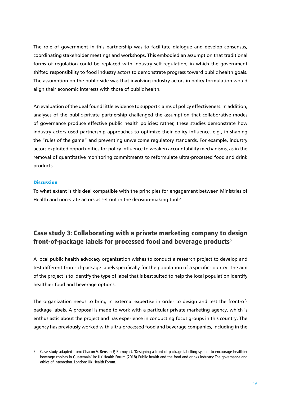The role of government in this partnership was to facilitate dialogue and develop consensus, coordinating stakeholder meetings and workshops. This embodied an assumption that traditional forms of regulation could be replaced with industry self-regulation, in which the government shifted responsibility to food industry actors to demonstrate progress toward public health goals. The assumption on the public side was that involving industry actors in policy formulation would align their economic interests with those of public health.

An evaluation of the deal found little evidence to support claims of policy effectiveness. In addition, analyses of the public-private partnership challenged the assumption that collaborative modes of governance produce effective public health policies; rather, these studies demonstrate how industry actors used partnership approaches to optimize their policy influence, e.g., in shaping the "rules of the game" and preventing unwelcome regulatory standards. For example, industry actors exploited opportunities for policy influence to weaken accountability mechanisms, as in the removal of quantitative monitoring commitments to reformulate ultra-processed food and drink products.

#### **Discussion**

To what extent is this deal compatible with the principles for engagement between Ministries of Health and non-state actors as set out in the decision-making tool?

### Case study 3: Collaborating with a private marketing company to design front-of-package labels for processed food and beverage products5

A local public health advocacy organization wishes to conduct a research project to develop and test different front-of-package labels specifically for the population of a specific country. The aim of the project is to identify the type of label that is best suited to help the local population identify healthier food and beverage options.

The organization needs to bring in external expertise in order to design and test the front-ofpackage labels. A proposal is made to work with a particular private marketing agency, which is enthusiastic about the project and has experience in conducting focus groups in this country. The agency has previously worked with ultra-processed food and beverage companies, including in the

<sup>5</sup> Case-study adapted from: Chacon V, Benson P, Barnoya J. 'Designing a front-of-package labelling system to encourage healthier beverage choices in Guatemala' in: UK Health Forum (2018) Public health and the food and drinks industry: The governance and ethics of interaction. London: UK Health Forum.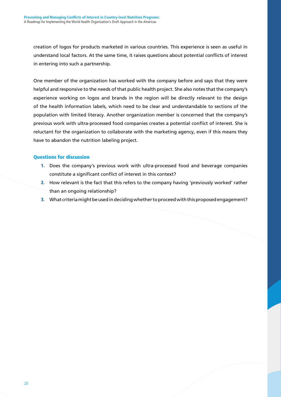creation of logos for products marketed in various countries. This experience is seen as useful in understand local factors. At the same time, it raises questions about potential conflicts of interest in entering into such a partnership.

One member of the organization has worked with the company before and says that they were helpful and responsive to the needs of that public health project. She also notes that the company's experience working on logos and brands in the region will be directly relevant to the design of the health information labels, which need to be clear and understandable to sections of the population with limited literacy. Another organization member is concerned that the company's previous work with ultra-processed food companies creates a potential conflict of interest. She is reluctant for the organization to collaborate with the marketing agency, even if this means they have to abandon the nutrition labeling project.

#### Questions for discussion

- 1. Does the company's previous work with ultra-processed food and beverage companies constitute a significant conflict of interest in this context?
- 2. How relevant is the fact that this refers to the company having 'previously worked' rather than an ongoing relationship?
- 3. What criteria might be used in deciding whether to proceed with this proposed engagement?